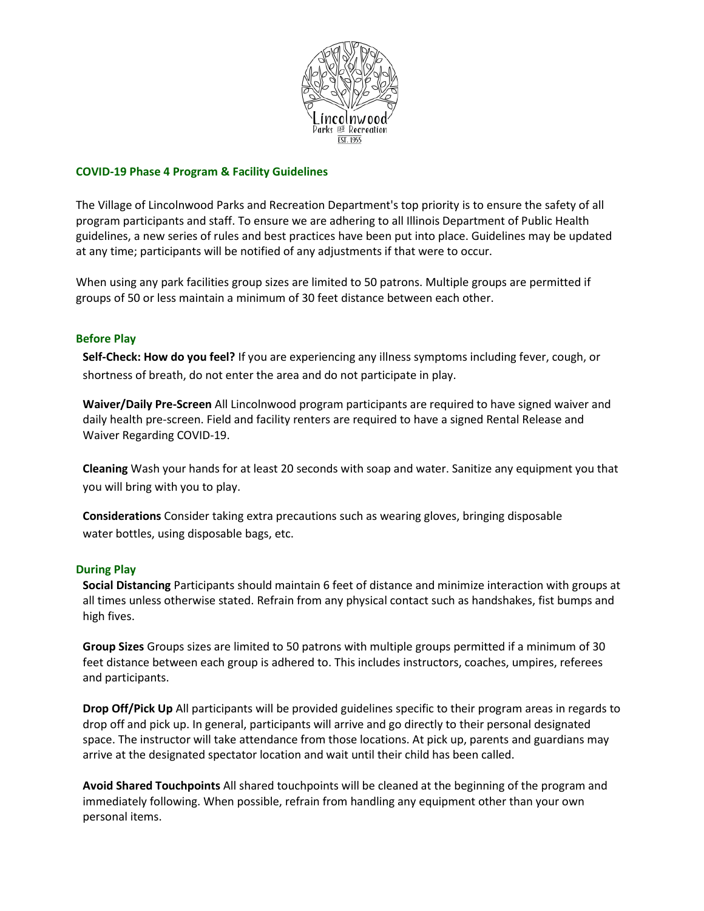

### **COVID-19 Phase 4 Program & Facility Guidelines**

The Village of Lincolnwood Parks and Recreation Department's top priority is to ensure the safety of all program participants and staff. To ensure we are adhering to all Illinois Department of Public Health guidelines, a new series of rules and best practices have been put into place. Guidelines may be updated at any time; participants will be notified of any adjustments if that were to occur.

When using any park facilities group sizes are limited to 50 patrons. Multiple groups are permitted if groups of 50 or less maintain a minimum of 30 feet distance between each other.

## **Before Play**

**Self-Check: How do you feel?** If you are experiencing any illness symptoms including fever, cough, or shortness of breath, do not enter the area and do not participate in play.

**Waiver/Daily Pre-Screen** All Lincolnwood program participants are required to have signed waiver and daily health pre-screen. Field and facility renters are required to have a signed Rental Release and Waiver Regarding COVID-19.

**Cleaning** Wash your hands for at least 20 seconds with soap and water. Sanitize any equipment you that you will bring with you to play.

**Considerations** Consider taking extra precautions such as wearing gloves, bringing disposable water bottles, using disposable bags, etc.

#### **During Play**

**Social Distancing** Participants should maintain 6 feet of distance and minimize interaction with groups at all times unless otherwise stated. Refrain from any physical contact such as handshakes, fist bumps and high fives.

**Group Sizes** Groups sizes are limited to 50 patrons with multiple groups permitted if a minimum of 30 feet distance between each group is adhered to. This includes instructors, coaches, umpires, referees and participants.

**Drop Off/Pick Up** All participants will be provided guidelines specific to their program areas in regards to drop off and pick up. In general, participants will arrive and go directly to their personal designated space. The instructor will take attendance from those locations. At pick up, parents and guardians may arrive at the designated spectator location and wait until their child has been called.

**Avoid Shared Touchpoints** All shared touchpoints will be cleaned at the beginning of the program and immediately following. When possible, refrain from handling any equipment other than your own personal items.